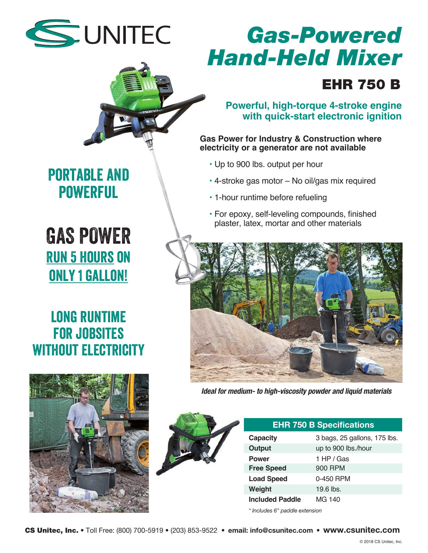



# *Gas-Powered Hand-Held Mixer*

### EHR 750 B

### **Powerful, high-torque 4-stroke engine with quick-start electronic ignition**

**Gas Power for Industry & Construction where electricity or a generator are not available**

- Up to 900 lbs. output per hour
- 4-stroke gas motor No oil/gas mix required
- 1-hour runtime before refueling
- For epoxy, self-leveling compounds, finished plaster, latex, mortar and other materials



*Ideal for medium- to high-viscosity powder and liquid materials*



| <b>EHR 750 B Specifications</b> |                              |
|---------------------------------|------------------------------|
| Capacity                        | 3 bags, 25 gallons, 175 lbs. |
| Output                          | up to 900 lbs./hour          |
| <b>Power</b>                    | 1 HP / Gas                   |
| <b>Free Speed</b>               | 900 RPM                      |
| <b>Load Speed</b>               | 0-450 RPM                    |
| Weight                          | 19.6 lbs.                    |
| Included Paddle                 | MG 140                       |

*\* Includes 6" paddle extension*

Portable and **POWERFUL** 

GAS POWER Run 5 hours on only 1 gallon!

## long runtime for jobsites WITHOUT ELECTRICITY



CS Unitec, Inc. • Toll Free: (800) 700-5919 • (203) 853-9522 • **email: info@csunitec.com • www.csunitec.com**